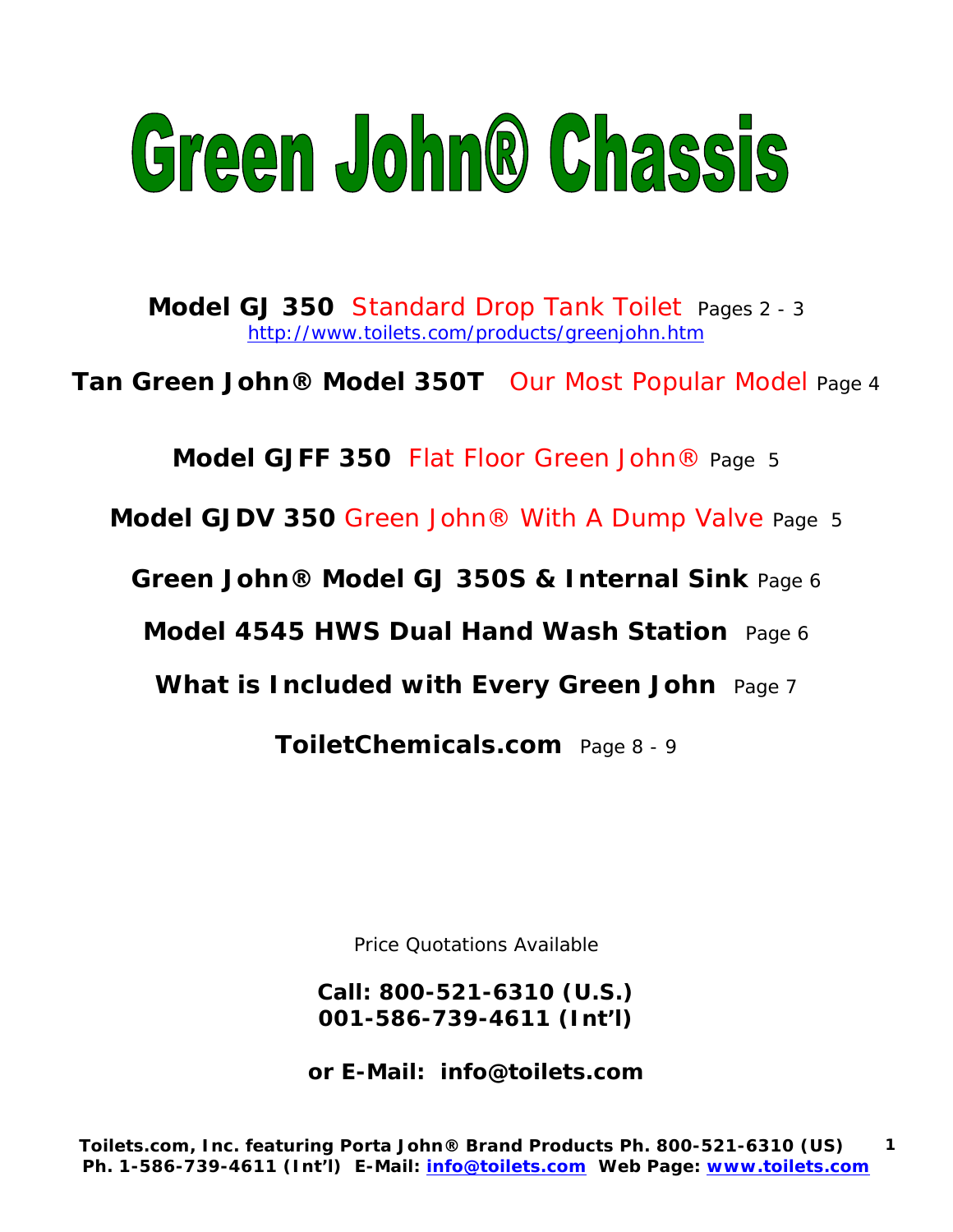# Green John® Chassis

**Model GJ 350** Standard Drop Tank Toilet Pages 2 - 3 http://www.toilets.com/products/greenjohn.htm

**Tan Green John® Model 350T** Our Most Popular Model Page 4

**Model GJFF 350** Flat Floor Green John® Page 5

**Model GJDV 350** Green John® With A Dump Valve Page 5

**Green John® Model GJ 350S & Internal Sink** Page 6

**Model 4545 HWS Dual Hand Wash Station** Page 6

**What is Included with Every Green John** Page 7

**ToiletChemicals.com** Page 8 - 9

Price Quotations Available

**Call: 800-521-6310 (U.S.) 001-586-739-4611 (Int'l)** 

**or E-Mail: info@toilets.com**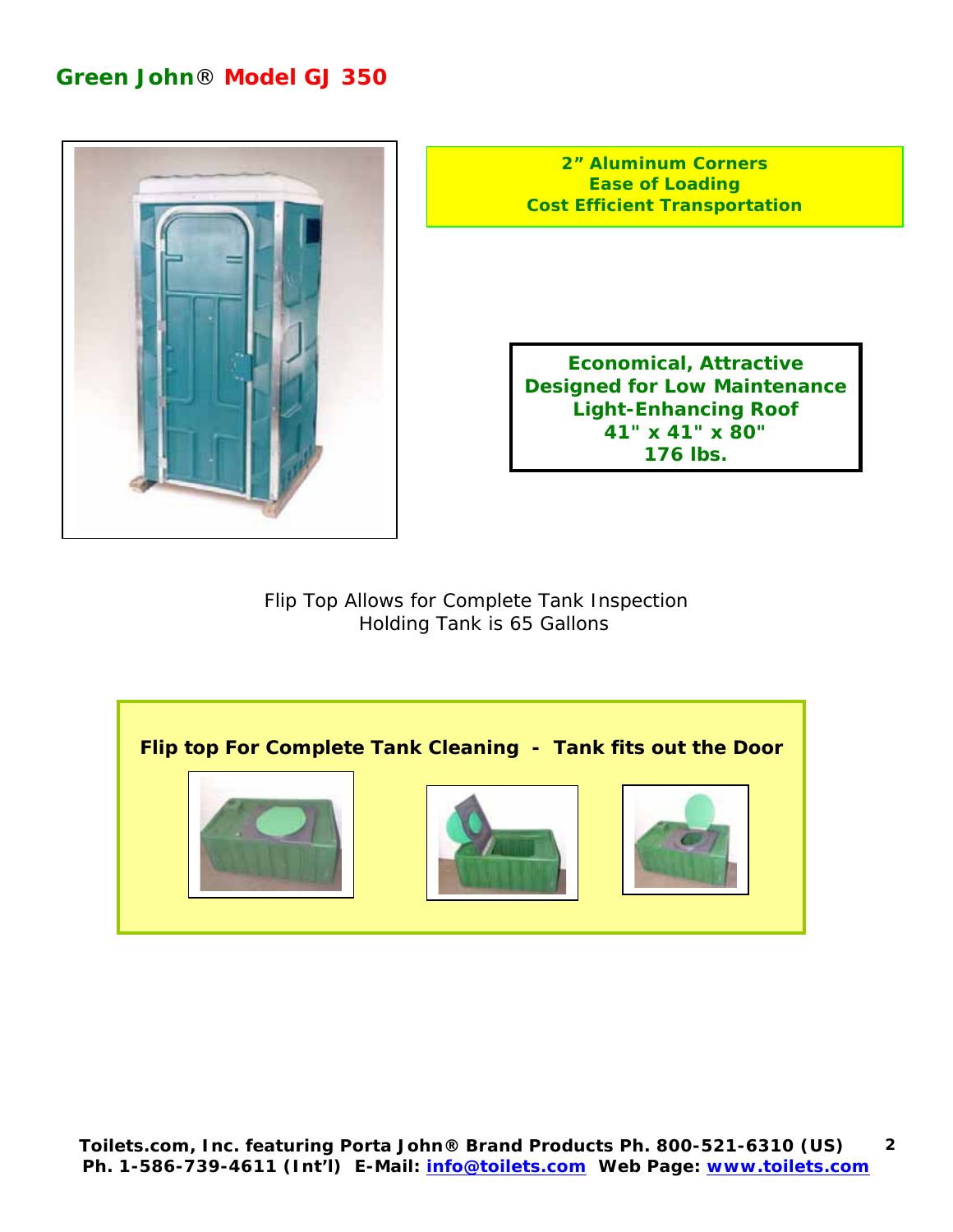### **Green John**® **Model GJ 350**



**2" Aluminum Corners Ease of Loading Cost Efficient Transportation**

**Economical, Attractive Designed for Low Maintenance Light-Enhancing Roof 41" x 41" x 80" 176 lbs.**

Flip Top Allows for Complete Tank Inspection Holding Tank is 65 Gallons

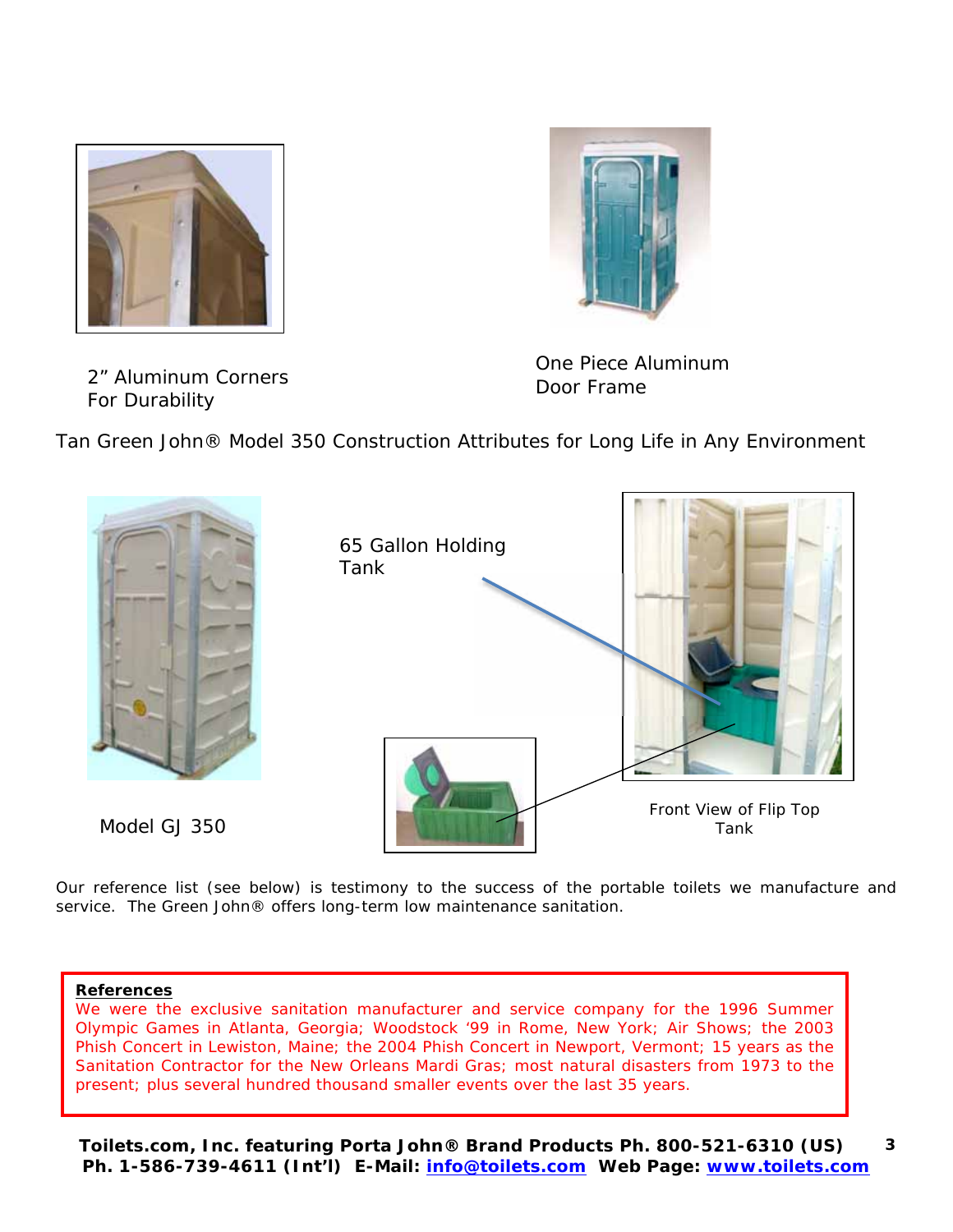



2" Aluminum Corners<br>Door Frame For Durability

One Piece Aluminum

Tan Green John® Model 350 Construction Attributes for Long Life in Any Environment



Model GJ 350



Our reference list (see below) is testimony to the success of the portable toilets we manufacture and service. The Green John® offers long-term low maintenance sanitation.

#### **References**

We were the exclusive sanitation manufacturer and service company for the 1996 Summer Olympic Games in Atlanta, Georgia; Woodstock '99 in Rome, New York; Air Shows; the 2003 Phish Concert in Lewiston, Maine; the 2004 Phish Concert in Newport, Vermont; 15 years as the Sanitation Contractor for the New Orleans Mardi Gras; most natural disasters from 1973 to the present; plus several hundred thousand smaller events over the last 35 years.

**Toilets.com, Inc.** *featuring* **Porta John® Brand Products Ph. 800-521-6310 (US) Ph. 1-586-739-4611 (Int'l) E-Mail: info@toilets.com Web Page: www.toilets.com 3**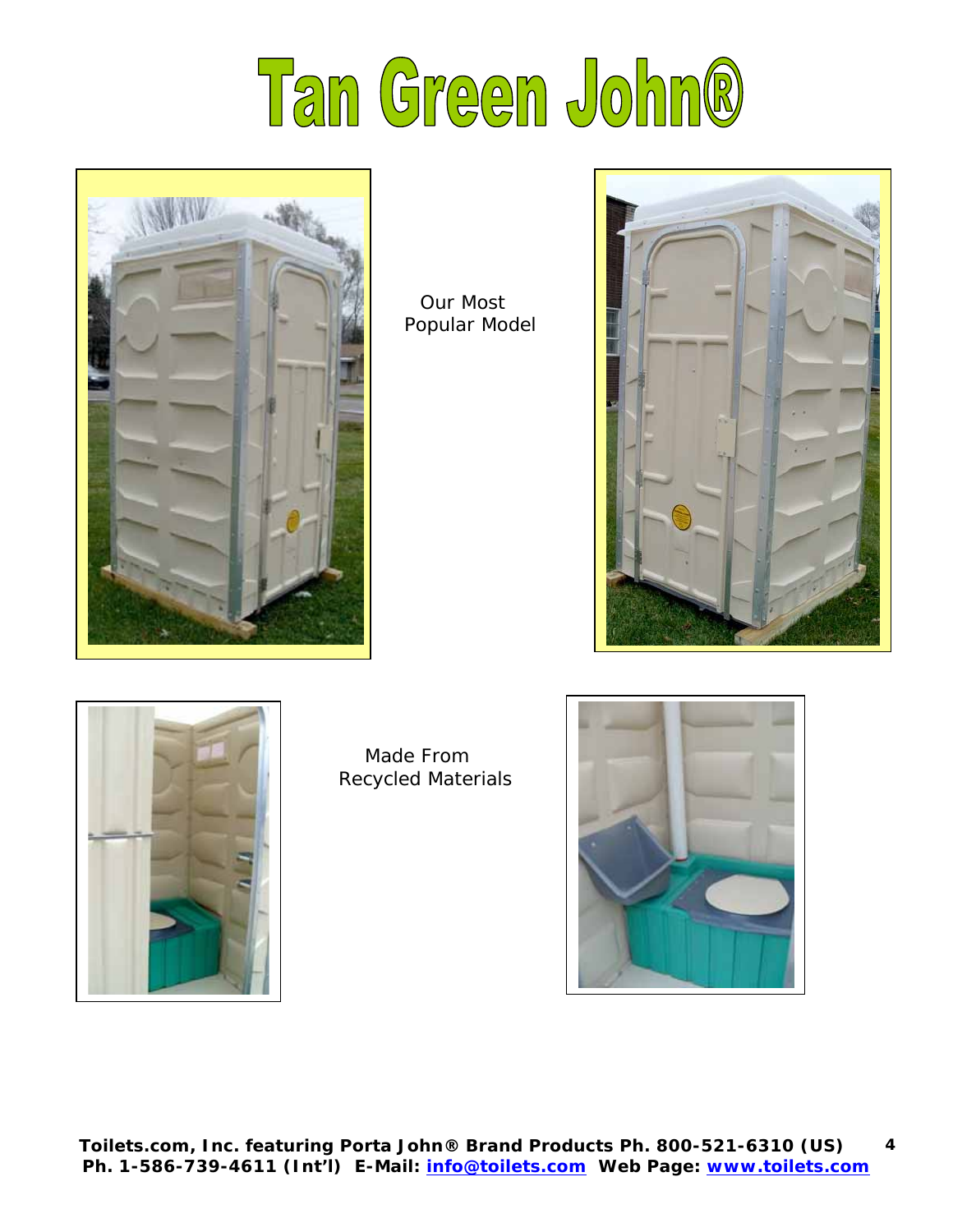



 Our Most Popular Model





 Made From Recycled Materials

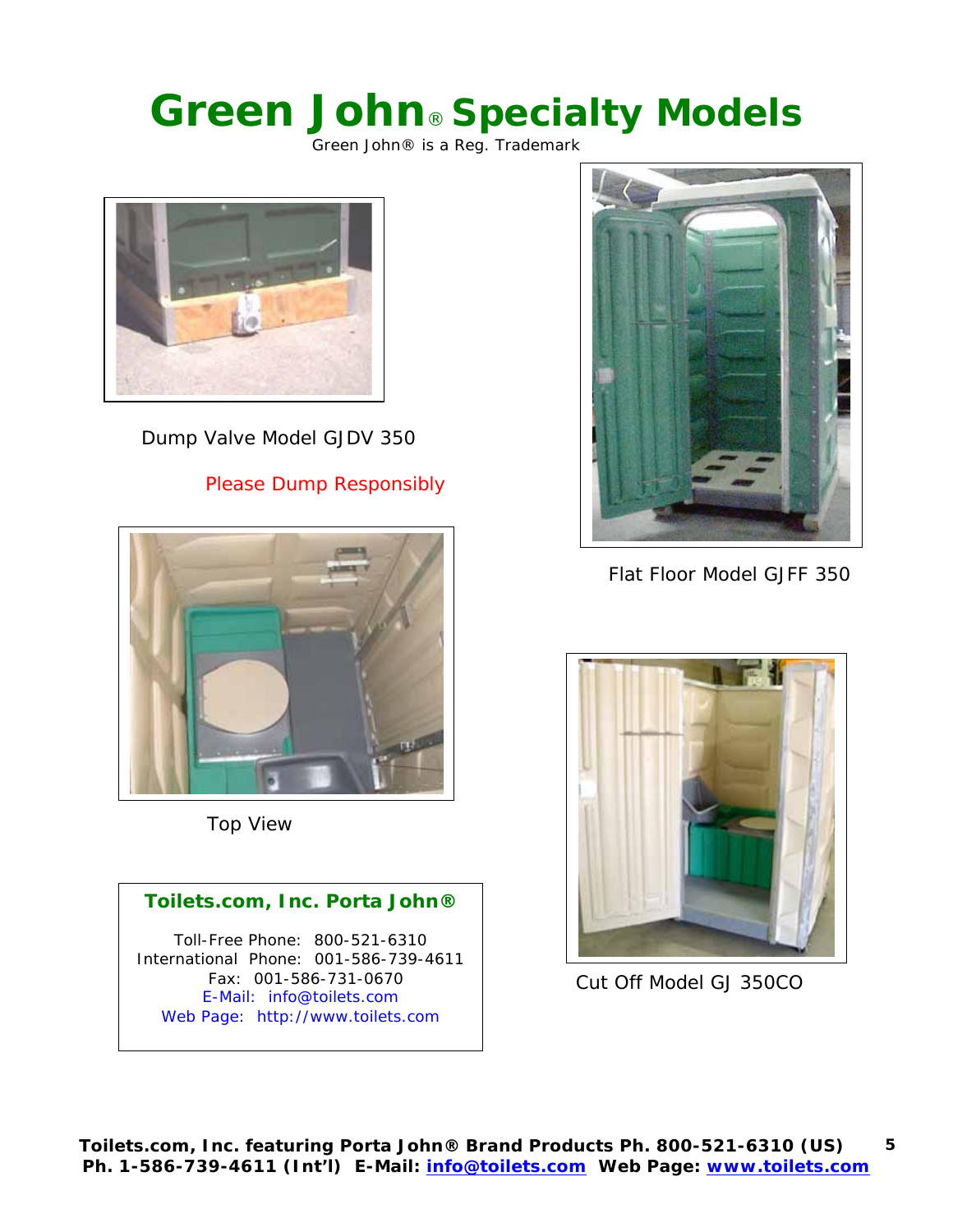# **Green John**® **Specialty Models**

Green John® is a Reg. Trademark



Dump Valve Model GJDV 350

### Please Dump Responsibly



Top View

### **Toilets.com, Inc. Porta John®**

Toll-Free Phone: 800-521-6310 International Phone: 001-586-739-4611 Fax: 001-586-731-0670 E-Mail: info@toilets.com Web Page: http://www.toilets.com



Flat Floor Model GJFF 350



Cut Off Model GJ 350CO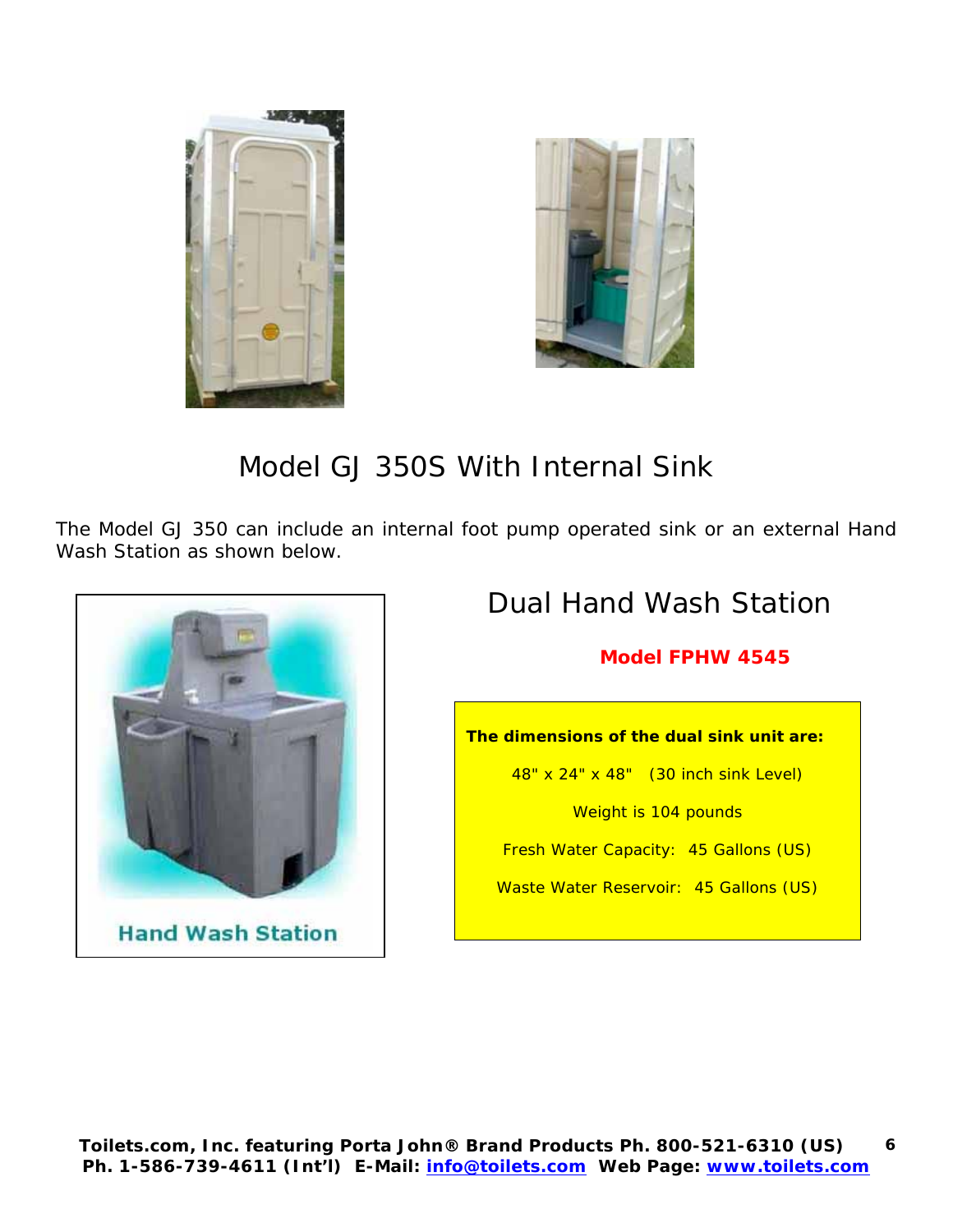



### Model GJ 350S With Internal Sink

The Model GJ 350 can include an internal foot pump operated sink or an external Hand Wash Station as shown below.



### Dual Hand Wash Station

### **Model FPHW 4545**

**The dimensions of the dual sink unit are:** 

48" x 24" x 48" (30 inch sink Level)

Weight is 104 pounds

Fresh Water Capacity: 45 Gallons (US)

Waste Water Reservoir: 45 Gallons (US)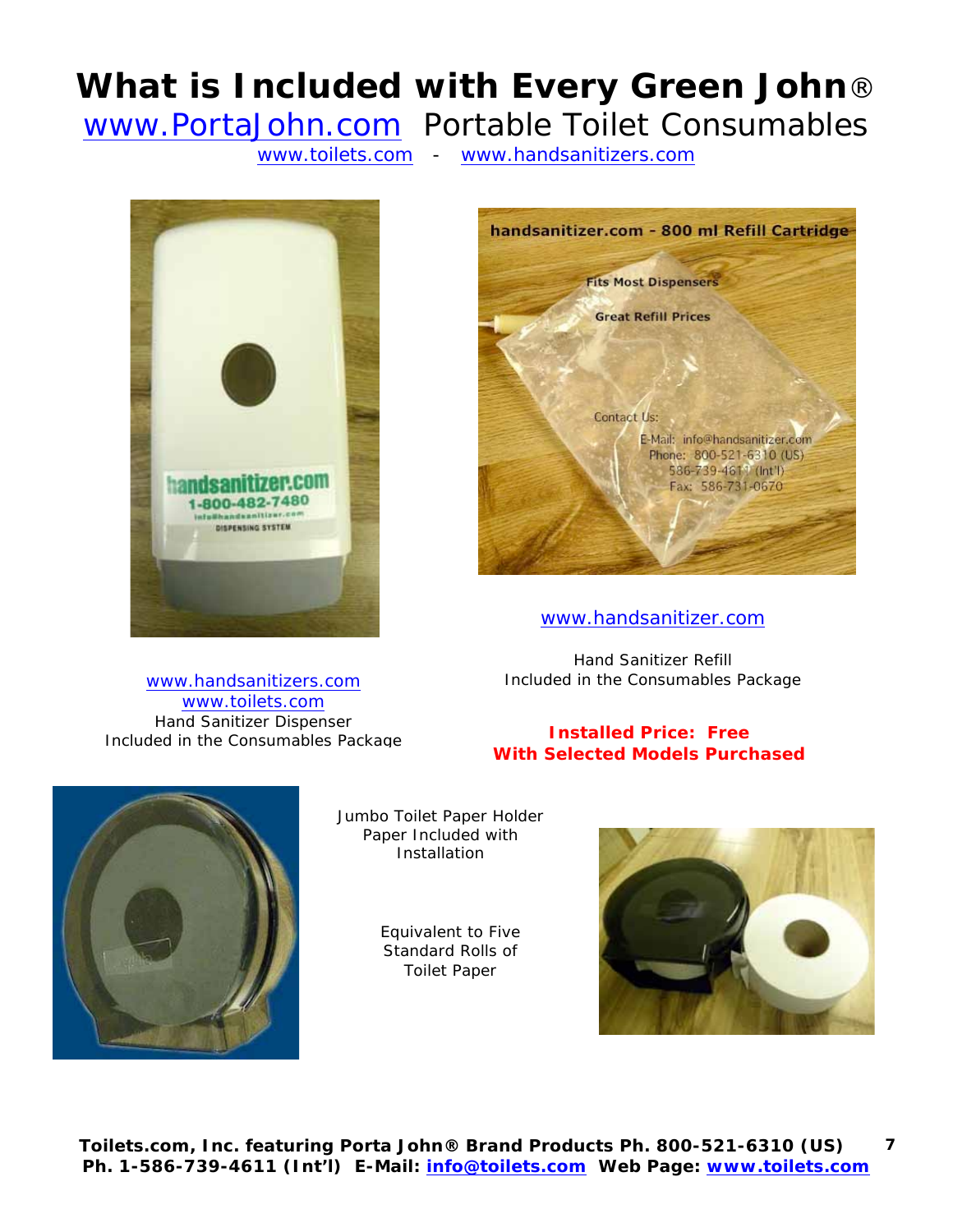# **What is Included with Every Green John**®

www.PortaJohn.com Portable Toilet Consumables

www.toilets.com - www.handsanitizers.com



www.handsanitizers.com www.toilets.com Hand Sanitizer Dispenser Included in the Consumables Package



www.handsanitizer.com

Hand Sanitizer Refill Included in the Consumables Package

### **Installed Price: Free With Selected Models Purchased**



Jumbo Toilet Paper Holder Paper Included with Installation

> Equivalent to Five Standard Rolls of Toilet Paper

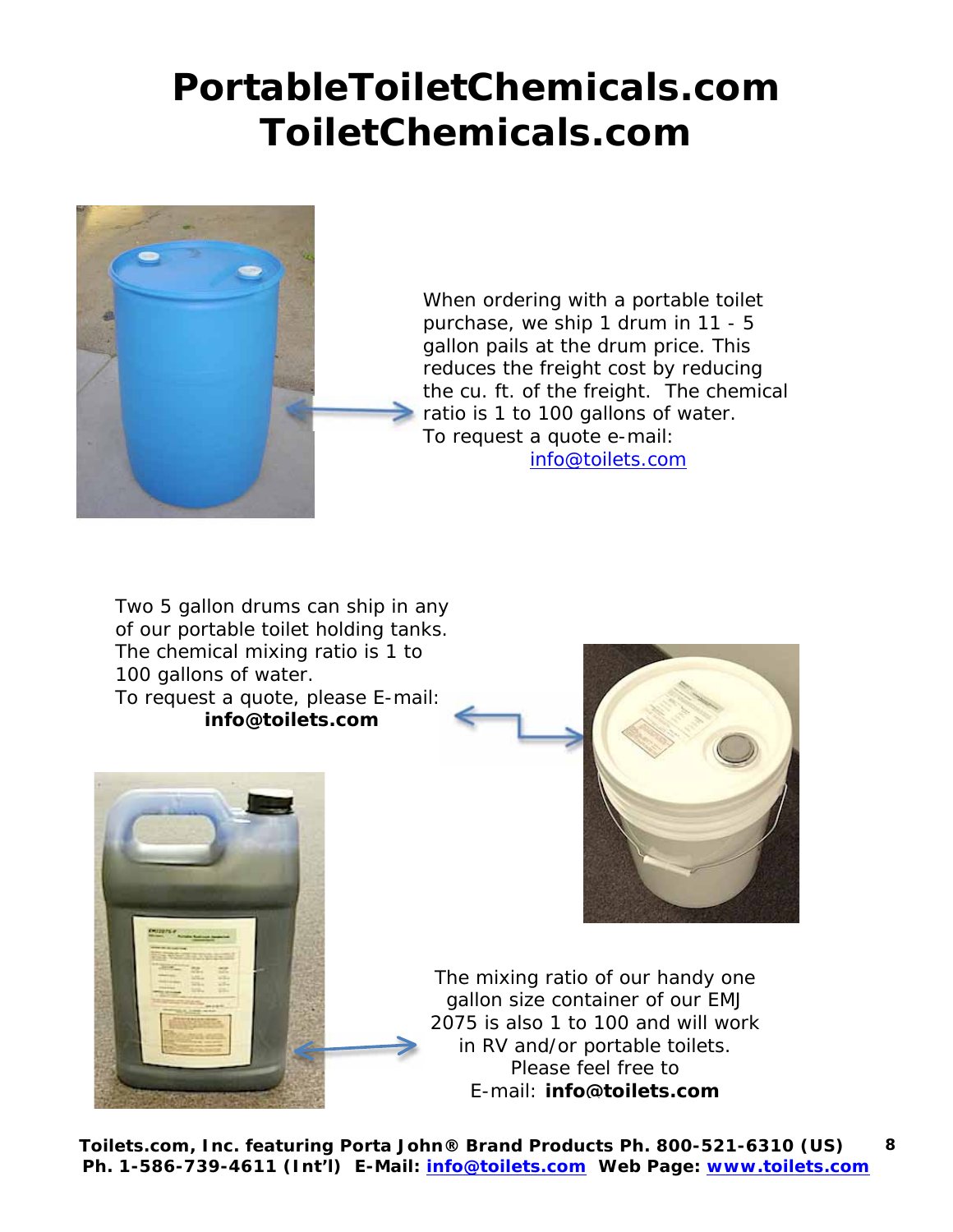## **PortableToiletChemicals.com ToiletChemicals.com**



When ordering with a portable toilet purchase, we ship 1 drum in 11 - 5 gallon pails at the drum price. This reduces the freight cost by reducing the cu. ft. of the freight. The chemical ratio is 1 to 100 gallons of water. To request a quote e-mail: info@toilets.com

Two 5 gallon drums can ship in any of our portable toilet holding tanks. The chemical mixing ratio is 1 to 100 gallons of water. To request a quote, please E-mail: **info@toilets.com** 





The mixing ratio of our handy one gallon size container of our EMJ 2075 is also 1 to 100 and will work in RV and/or portable toilets. Please feel free to E-mail: **info@toilets.com**